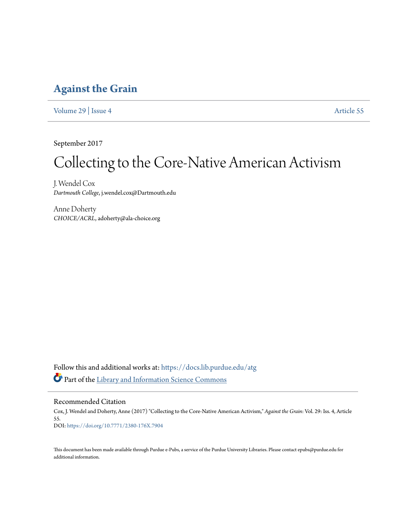### **[Against the Grain](https://docs.lib.purdue.edu/atg?utm_source=docs.lib.purdue.edu%2Fatg%2Fvol29%2Fiss4%2F55&utm_medium=PDF&utm_campaign=PDFCoverPages)**

[Volume 29](https://docs.lib.purdue.edu/atg/vol29?utm_source=docs.lib.purdue.edu%2Fatg%2Fvol29%2Fiss4%2F55&utm_medium=PDF&utm_campaign=PDFCoverPages) | [Issue 4](https://docs.lib.purdue.edu/atg/vol29/iss4?utm_source=docs.lib.purdue.edu%2Fatg%2Fvol29%2Fiss4%2F55&utm_medium=PDF&utm_campaign=PDFCoverPages) [Article 55](https://docs.lib.purdue.edu/atg/vol29/iss4/55?utm_source=docs.lib.purdue.edu%2Fatg%2Fvol29%2Fiss4%2F55&utm_medium=PDF&utm_campaign=PDFCoverPages)

September 2017

# Collecting to the Core-Native American Activism

J. Wendel Cox *Dartmouth College*, j.wendel.cox@Dartmouth.edu

Anne Doherty *CHOICE/ACRL*, adoherty@ala-choice.org

Follow this and additional works at: [https://docs.lib.purdue.edu/atg](https://docs.lib.purdue.edu/atg?utm_source=docs.lib.purdue.edu%2Fatg%2Fvol29%2Fiss4%2F55&utm_medium=PDF&utm_campaign=PDFCoverPages) Part of the [Library and Information Science Commons](http://network.bepress.com/hgg/discipline/1018?utm_source=docs.lib.purdue.edu%2Fatg%2Fvol29%2Fiss4%2F55&utm_medium=PDF&utm_campaign=PDFCoverPages)

Recommended Citation

Cox, J. Wendel and Doherty, Anne (2017) "Collecting to the Core-Native American Activism," *Against the Grain*: Vol. 29: Iss. 4, Article 55. DOI: <https://doi.org/10.7771/2380-176X.7904>

This document has been made available through Purdue e-Pubs, a service of the Purdue University Libraries. Please contact epubs@purdue.edu for additional information.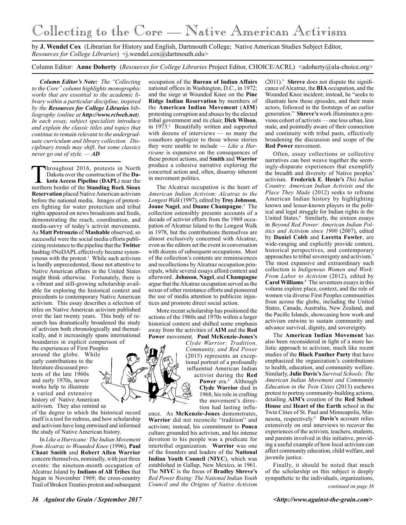## Collecting to the Core — Native American Activism

by **J. Wendel Cox** (Librarian for History and English, Dartmouth College; Native American Studies Subject Editor, *Resources for College Libraries*) <j.wendel.cox@dartmouth.edu>

Column Editor: **Anne Doherty** (*Resources for College Libraries* Project Editor, CHOICE/ACRL) <adoherty@ala-choice.org>

*Column Editor's Note: The "Collecting to the Core" column highlights monographic works that are essential to the academic library within a particular discipline, inspired by the Resources for College Libraries bibliography (online at http://www.rclweb.net). In each essay, subject specialists introduce and explain the classic titles and topics that continue to remain relevant to the undergraduate curriculum and library collection. Disciplinary trends may shift, but some classics never go out of style. — AD*

**Throughout 2016, protests in North Dakota over the construction of the Dakota Access Pipeline (DAPL) near the northern border of the <b>Standing Rock Sioux** Dakota over the construction of the **Da**northern border of the **Standing Rock Sioux Reservation** placed Native American activism before the national media. Images of protesters fighting for water protection and tribal rights appeared on news broadcasts and feeds, demonstrating the reach, coordination, and media-savvy of today's activist movements. As **Matt Petronzio** of **Mashable** observed, so successful were the social media efforts publicizing resistance to the pipeline that the **Twitter** hashtag #NoDAPL effectively became synonymous with the protest.<sup>1</sup> While such activism is hardly unprecedented, those not attentive to Native American affairs in the United States might think otherwise. Fortunately, there is a vibrant and still-growing scholarship available for exploring the historical context and precedents to contemporary Native American activism. This essay describes a selection of titles on Native American activism published over the last twenty years. This body of research has dramatically broadened the study of activism both chronologically and thematically, and it increasingly spans international boundaries in explicit comparison of

the experiences of First Peoples around the globe. While early contributions to the literature discussed protests of the late 1960s and early 1970s, newer works help to illustrate a varied and extensive history of Native American activism. They also remind us

of the degree to which the historical record itself is a tool for redress, and how scholarship and activism have long entwined and informed the study of Native American history.

In *Like a Hurricane: The Indian Movement from Alcatraz to Wounded Knee* (1996), **Paul Chaat Smith** and **Robert Allen Warrior** concern themselves, nominally, with just three events: the nineteen-month occupation of Alcatraz Island by **Indians of All Tribes** that began in November 1969; the cross-country Trail of Broken Treaties protest and subsequent

occupation of the **Bureau of Indian Affairs**  national offices in Washington, D.C., in 1972; and the siege at Wounded Knee on the **Pine Ridge Indian Reservation** by members of the **American Indian Movement** (**AIM**) protesting corruption and abuses by the elected tribal government and its chair, **Dick Wilson**, in 1973.<sup>2</sup> Beautifully written and supported with dozens of interviews — so many the coauthors apologize to those whose stories they were unable to include — *Like a Hurricane* is expansive on the consequences of these protest actions, and **Smith** and **Warrior** produce a cohesive narrative exploring the concerted action and, often, disarray inherent in movement politics.

The Alcatraz occupation is the heart of *American Indian Activism: Alcatraz to the Longest Walk* (1997), edited by **Troy Johnson**, **Joane Nagel**, and **Duane Champagne**. 3 The collection ostensibly presents accounts of a decade of activist efforts from the 1969 occupation of Alcatraz Island to the Longest Walk in 1978, but the contributions themselves are almost exclusively concerned with Alcatraz, even as the editors set the event in conversation with dozens of subsequent occupations. Most of the collection's contents are reminiscences and recollections by Alcatraz occupation principals, while several essays afford context and afterword. **Johnson**, **Nagel**, and **Champagne** argue that the Alcatraz occupation served as the nexus of other resistance efforts and pioneered the use of media attention to publicize injustices and promote direct social action.

More recent scholarship has positioned the actions of the 1960s and 1970s within a larger historical context and shifted some emphasis away from the activities of **AIM** and the **Red Power** movement. **Paul McKenzie-Jones's**

*Clyde Warrior: Tradition, Community, and Red Power*  (2015) represents an exceptional portrait of a profoundly influential American Indian activist during the **Red**  Power era.<sup>4</sup> Although **Clyde Warrior** died in 1968, his role in crafting the movement's direction had lasting influ-

ence. As **McKenzie-Jones** demonstrates, **Warrior** did not reconcile "tradition" and activism; instead, his commitment to **Ponca** culture grounded his activism, and his intense devotion to his people was a predicate for intertribal organization. **Warrior** was one of the founders and leaders of the **National Indian Youth Council** (**NIYC**), which was established in Gallup, New Mexico, in 1961. The **NIYC** is the focus of **Bradley Shreve's**  *Red Power Rising: The National Indian Youth Council and the Origins of Native Activism*

(2011).5 **Shreve** does not dispute the significance of Alcatraz, the **BIA** occupation, and the Wounded Knee incident; instead, he "seeks to illustrate how those episodes, and their main actors, followed in the footsteps of an earlier generation." **Shreve's** work illuminates a previous cohort of activists — one less urban, less male, and pointedly aware of their connection and continuity with tribal pasts, effectively broadening the discussion and scope of the **Red Power** movement.

Often, essay collections or collective narratives can best weave together the seemingly-disparate experiences that exemplify the breadth and diversity of Native peoples' activism. **Frederick E**. **Hoxie's** *This Indian Country: American Indian Activists and the Place They Made* (2012) seeks to reframe American Indian history by highlighting known and lesser-known players in the political and legal struggle for Indian rights in the United States.<sup>6</sup> Similarly, the sixteen essays in *Beyond Red Power: American Indian Politics and Activism since 1900* (2007), edited by **Daniel Cobb** and **Loretta Fowler**, are wide-ranging and explicitly provide context, historical perspectives, and contemporary approaches to tribal sovereignty and activism.7 The most expansive and extraordinary such collection is *Indigenous Women and Work: From Labor to Activism* (2012), edited by **Carol Williams**. 8 The seventeen essays in this volume explore place, context, and the role of women via diverse First Peoples communities from across the globe, including the United States, Canada, Australia, New Zealand, and the Pacific Islands, showcasing how work and activism entwine to sustain community and advance survival, dignity, and sovereignty.

The **American Indian Movement** has also been reconsidered in light of a more holistic approach to activism, much like recent studies of the **Black Panther Party** that have emphasized the organization's contributions to health, education, and community welfare. Similarly, **Julie Davis's** *Survival Schools: The American Indian Movement and Community Education in the Twin Cities* (2013) eschews protest to portray community-building actions, detailing **AIM's** creation of the **Red School House** and **Heart of the Earth** school in the Twin Cities of St. Paul and Minneapolis, Minnesota, respectively.9 **Davis's** account relies extensively on oral interviews to recover the experiences of the activists, teachers, students, and parents involved in this initiative, providing a useful example of how local activism can affect community education, child welfare, and juvenile justice.

Finally, it should be noted that much of the scholarship on this subject is deeply sympathetic to the individuals, organizations,

*continued on page 38*